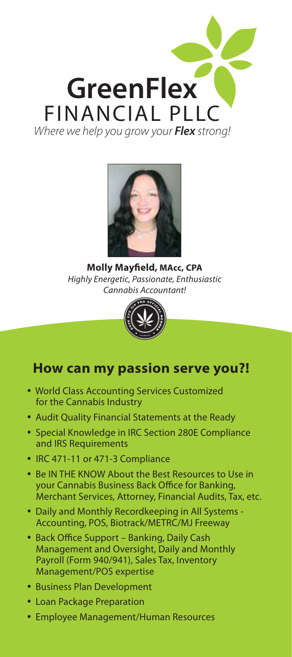



**Molly Mayfield, MAcc, CPA** *Highly Energetic, Passionate, Enthusiastic Cannabis Accountant!* 



## **How can my passion serve you?!**

- World Class Accounting Services Customized for the Cannabis Industry
- Audit Quality Financial Statements at the Ready
- Special Knowledge in IRC Section 280E Compliance and IRS Requirements
- IRC 471-11 or 471-3 Compliance
- Be IN THE KNOW About the Best Resources to Use in your Cannabis Business Back Office for Banking, Merchant Services, Attorney, Financial Audits, Tax, etc.
- Daily and Monthly Recordkeeping in All Systems Accounting, POS, Biotrack/METRC/MJ Freeway
- Back Office Support Banking, Daily Cash Management and Oversight, Daily and Monthly Payroll (Form 940/941), Sales Tax, Inventory Management/POS expertise
- Business Plan Development
- Loan Package Preparation
- Employee Management/Human Resources